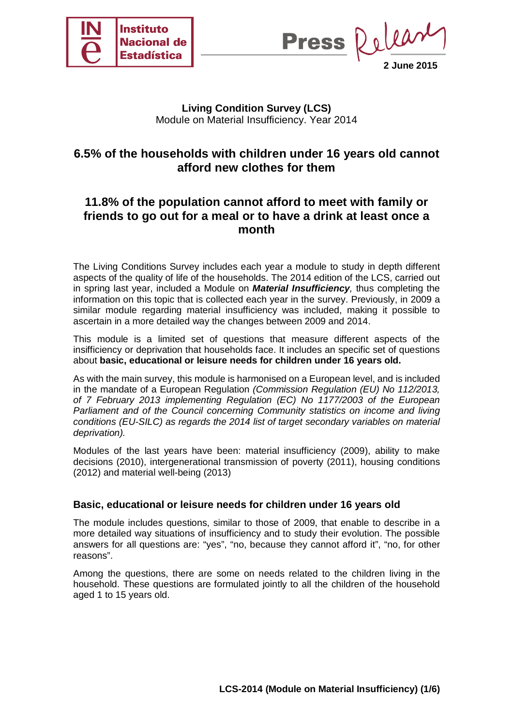

Delea **Press 2 June 2015**

## **Living Condition Survey (LCS)** Module on Material Insufficiency. Year 2014

# **6.5% of the households with children under 16 years old cannot afford new clothes for them**

# **11.8% of the population cannot afford to meet with family or friends to go out for a meal or to have a drink at least once a month**

The Living Conditions Survey includes each year a module to study in depth different aspects of the quality of life of the households. The 2014 edition of the LCS, carried out in spring last year, included a Module on *Material Insufficiency,* thus completing the information on this topic that is collected each year in the survey. Previously, in 2009 a similar module regarding material insufficiency was included, making it possible to ascertain in a more detailed way the changes between 2009 and 2014.

This module is a limited set of questions that measure different aspects of the insifficiency or deprivation that households face. It includes an specific set of questions about **basic, educational or leisure needs for children under 16 years old.**

As with the main survey, this module is harmonised on a European level, and is included in the mandate of a European Regulation *(Commission Regulation (EU) No 112/2013, of 7 February 2013 implementing Regulation (EC) No 1177/2003 of the European Parliament and of the Council concerning Community statistics on income and living conditions (EU-SILC) as regards the 2014 list of target secondary variables on material deprivation).* 

Modules of the last years have been: material insufficiency (2009), ability to make decisions (2010), intergenerational transmission of poverty (2011), housing conditions (2012) and material well-being (2013)

#### **Basic, educational or leisure needs for children under 16 years old**

The module includes questions, similar to those of 2009, that enable to describe in a more detailed way situations of insufficiency and to study their evolution. The possible answers for all questions are: "yes", "no, because they cannot afford it", "no, for other reasons".

Among the questions, there are some on needs related to the children living in the household. These questions are formulated jointly to all the children of the household aged 1 to 15 years old.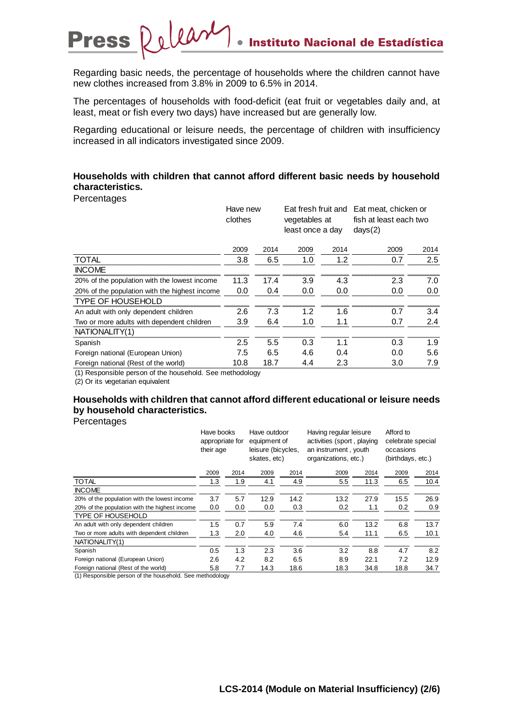Regarding basic needs, the percentage of households where the children cannot have new clothes increased from 3.8% in 2009 to 6.5% in 2014.

The percentages of households with food-deficit (eat fruit or vegetables daily and, at least, meat or fish every two days) have increased but are generally low.

Regarding educational or leisure needs, the percentage of children with insufficiency increased in all indicators investigated since 2009.

#### **Households with children that cannot afford different basic needs by household characteristics.**

**Percentages** 

|                                               | Have new<br>clothes |      | vegetables at<br>least once a day |      | Eat fresh fruit and Eat meat, chicken or<br>fish at least each two<br>days(2) |      |
|-----------------------------------------------|---------------------|------|-----------------------------------|------|-------------------------------------------------------------------------------|------|
|                                               | 2009                | 2014 | 2009                              | 2014 | 2009                                                                          | 2014 |
| <b>TOTAL</b>                                  | 3.8                 | 6.5  | 1.0                               | 1.2  | 0.7                                                                           | 2.5  |
| <b>INCOME</b>                                 |                     |      |                                   |      |                                                                               |      |
| 20% of the population with the lowest income  | 11.3                | 17.4 | 3.9                               | 4.3  | 2.3                                                                           | 7.0  |
| 20% of the population with the highest income | 0.0                 | 0.4  | 0.0                               | 0.0  | 0.0                                                                           | 0.0  |
| TYPE OF HOUSEHOLD                             |                     |      |                                   |      |                                                                               |      |
| An adult with only dependent children         | 2.6                 | 7.3  | 1.2                               | 1.6  | 0.7                                                                           | 3.4  |
| Two or more adults with dependent children    | 3.9                 | 6.4  | 1.0                               | 1.1  | 0.7                                                                           | 2.4  |
| NATIONALITY(1)                                |                     |      |                                   |      |                                                                               |      |
| Spanish                                       | 2.5                 | 5.5  | 0.3                               | 1.1  | 0.3                                                                           | 1.9  |
| Foreign national (European Union)             | 7.5                 | 6.5  | 4.6                               | 0.4  | 0.0                                                                           | 5.6  |
| Foreign national (Rest of the world)          | 10.8                | 18.7 | 4.4                               | 2.3  | 3.0                                                                           | 7.9  |
| $\cdots$<br>.                                 |                     |      |                                   |      |                                                                               |      |

(1) Responsible person of the household. See methodology

(2) Or its vegetarian equivalent

## **Households with children that cannot afford different educational or leisure needs by household characteristics.**

**Percentages** 

|                                                         | Have books<br>appropriate for<br>their age |      | Have outdoor<br>equipment of<br>leisure (bicycles,<br>skates, etc) |      | Having regular leisure<br>activities (sport, playing<br>an instrument, youth<br>organizations, etc.) |      | Afford to<br>celebrate special<br>occasions<br>(birthdays, etc.) |      |
|---------------------------------------------------------|--------------------------------------------|------|--------------------------------------------------------------------|------|------------------------------------------------------------------------------------------------------|------|------------------------------------------------------------------|------|
|                                                         | 2009                                       | 2014 | 2009                                                               | 2014 | 2009                                                                                                 | 2014 | 2009                                                             | 2014 |
| <b>TOTAL</b>                                            | 1.3                                        | 1.9  | 4.1                                                                | 4.9  | 5.5                                                                                                  | 11.3 | 6.5                                                              | 10.4 |
| <b>INCOME</b>                                           |                                            |      |                                                                    |      |                                                                                                      |      |                                                                  |      |
| 20% of the population with the lowest income            | 3.7                                        | 5.7  | 12.9                                                               | 14.2 | 13.2                                                                                                 | 27.9 | 15.5                                                             | 26.9 |
| 20% of the population with the highest income           | 0.0                                        | 0.0  | 0.0                                                                | 0.3  | 0.2                                                                                                  | 1.1  | 0.2                                                              | 0.9  |
| <b>TYPE OF HOUSEHOLD</b>                                |                                            |      |                                                                    |      |                                                                                                      |      |                                                                  |      |
| An adult with only dependent children                   | 1.5                                        | 0.7  | 5.9                                                                | 7.4  | 6.0                                                                                                  | 13.2 | 6.8                                                              | 13.7 |
| Two or more adults with dependent children              | 1.3                                        | 2.0  | 4.0                                                                | 4.6  | 5.4                                                                                                  | 11.1 | 6.5                                                              | 10.1 |
| NATIONALITY(1)                                          |                                            |      |                                                                    |      |                                                                                                      |      |                                                                  |      |
| Spanish                                                 | 0.5                                        | 1.3  | 2.3                                                                | 3.6  | 3.2                                                                                                  | 8.8  | 4.7                                                              | 8.2  |
| Foreign national (European Union)                       | 2.6                                        | 4.2  | 8.2                                                                | 6.5  | 8.9                                                                                                  | 22.1 | 7.2                                                              | 12.9 |
| Foreign national (Rest of the world)                    | 5.8                                        | 7.7  | 14.3                                                               | 18.6 | 18.3                                                                                                 | 34.8 | 18.8                                                             | 34.7 |
| (4) Despensible neves of the household. Can methodology |                                            |      |                                                                    |      |                                                                                                      |      |                                                                  |      |

(1) Responsible person of the household. See methodology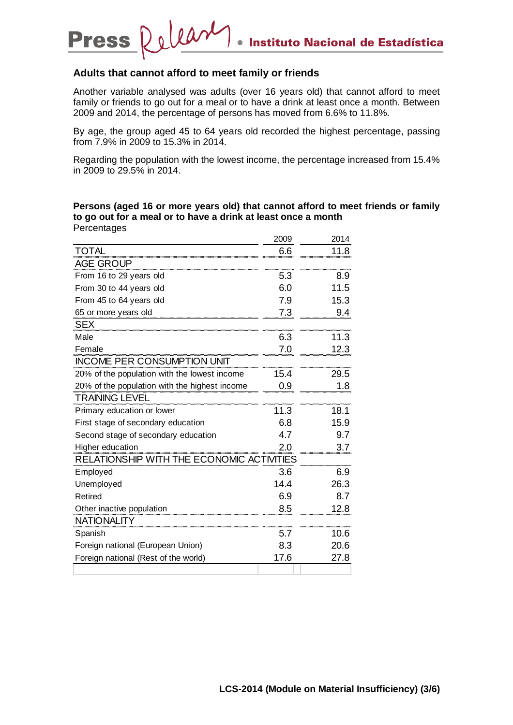#### **Adults that cannot afford to meet family or friends**

Dolear

**Press** 

Another variable analysed was adults (over 16 years old) that cannot afford to meet family or friends to go out for a meal or to have a drink at least once a month. Between 2009 and 2014, the percentage of persons has moved from 6.6% to 11.8%.

By age, the group aged 45 to 64 years old recorded the highest percentage, passing from 7.9% in 2009 to 15.3% in 2014.

Regarding the population with the lowest income, the percentage increased from 15.4% in 2009 to 29.5% in 2014.

**Persons (aged 16 or more years old) that cannot afford to meet friends or family to go out for a meal or to have a drink at least once a month Percentages** 

|                                               | 2009 | 2014 |
|-----------------------------------------------|------|------|
| <b>TOTAL</b>                                  | 6.6  | 11.8 |
| <b>AGE GROUP</b>                              |      |      |
| From 16 to 29 years old                       | 5.3  | 8.9  |
| From 30 to 44 years old                       | 6.0  | 11.5 |
| From 45 to 64 years old                       | 7.9  | 15.3 |
| 65 or more years old                          | 7.3  | 9.4  |
| <b>SEX</b>                                    |      |      |
| Male                                          | 6.3  | 11.3 |
| Female                                        | 7.0  | 12.3 |
| <b>INCOME PER CONSUMPTION UNIT</b>            |      |      |
| 20% of the population with the lowest income  | 15.4 | 29.5 |
| 20% of the population with the highest income | 0.9  | 1.8  |
| <b>TRAINING LEVEL</b>                         |      |      |
| Primary education or lower                    | 11.3 | 18.1 |
| First stage of secondary education            | 6.8  | 15.9 |
| Second stage of secondary education           | 4.7  | 9.7  |
| Higher education                              | 2.0  | 3.7  |
| RELATIONSHIP WITH THE ECONOMIC ACTIVITIES     |      |      |
| Employed                                      | 3.6  | 6.9  |
| Unemployed                                    | 14.4 | 26.3 |
| Retired                                       | 6.9  | 8.7  |
| Other inactive population                     | 8.5  | 12.8 |
| <b>NATIONALITY</b>                            |      |      |
| Spanish                                       | 5.7  | 10.6 |
| Foreign national (European Union)             | 8.3  | 20.6 |
| Foreign national (Rest of the world)          | 17.6 | 27.8 |
|                                               |      |      |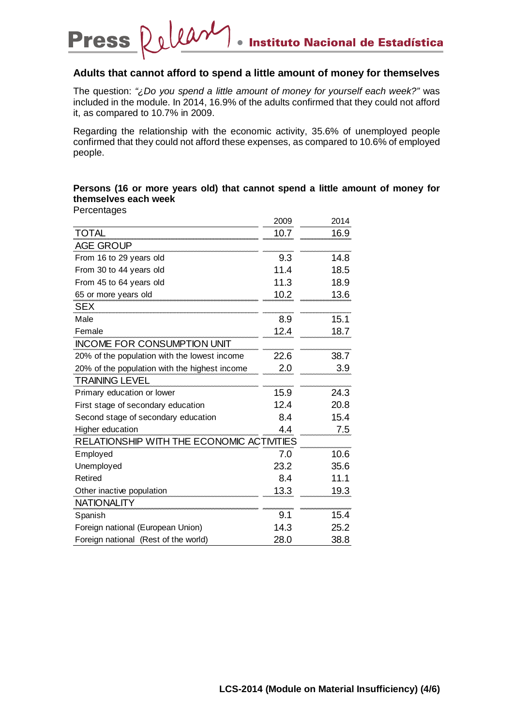#### Dolear **Press** Instituto Nacional de Estadística  $\bullet$

### **Adults that cannot afford to spend a little amount of money for themselves**

The question: *"¿Do you spend a little amount of money for yourself each week?"* was included in the module. In 2014, 16.9% of the adults confirmed that they could not afford it, as compared to 10.7% in 2009.

Regarding the relationship with the economic activity, 35.6% of unemployed people confirmed that they could not afford these expenses, as compared to 10.6% of employed people.

#### **Persons (16 or more years old) that cannot spend a little amount of money for themselves each week Percentages**

|                                               | 2009 | 2014 |
|-----------------------------------------------|------|------|
| <b>TOTAL</b>                                  | 10.7 | 16.9 |
| <b>AGE GROUP</b>                              |      |      |
| From 16 to 29 years old                       | 9.3  | 14.8 |
| From 30 to 44 years old                       | 11.4 | 18.5 |
| From 45 to 64 years old                       | 11.3 | 18.9 |
| 65 or more years old                          | 10.2 | 13.6 |
| <b>SEX</b>                                    |      |      |
| Male                                          | 8.9  | 15.1 |
| Female                                        | 12.4 | 18.7 |
| <b>INCOME FOR CONSUMPTION UNIT</b>            |      |      |
| 20% of the population with the lowest income  | 22.6 | 38.7 |
| 20% of the population with the highest income | 2.0  | 3.9  |
| <b>TRAINING LEVEL</b>                         |      |      |
| Primary education or lower                    | 15.9 | 24.3 |
| First stage of secondary education            | 12.4 | 20.8 |
| Second stage of secondary education           | 8.4  | 15.4 |
| Higher education                              | 4.4  | 7.5  |
| RELATIONSHIP WITH THE ECONOMIC ACTIVITIES     |      |      |
| Employed                                      | 7.0  | 10.6 |
| Unemployed                                    | 23.2 | 35.6 |
| <b>Retired</b>                                | 8.4  | 11.1 |
| Other inactive population                     | 13.3 | 19.3 |
| <b>NATIONALITY</b>                            |      |      |
| Spanish                                       | 9.1  | 15.4 |
| Foreign national (European Union)             | 14.3 | 25.2 |
| Foreign national (Rest of the world)          | 28.0 | 38.8 |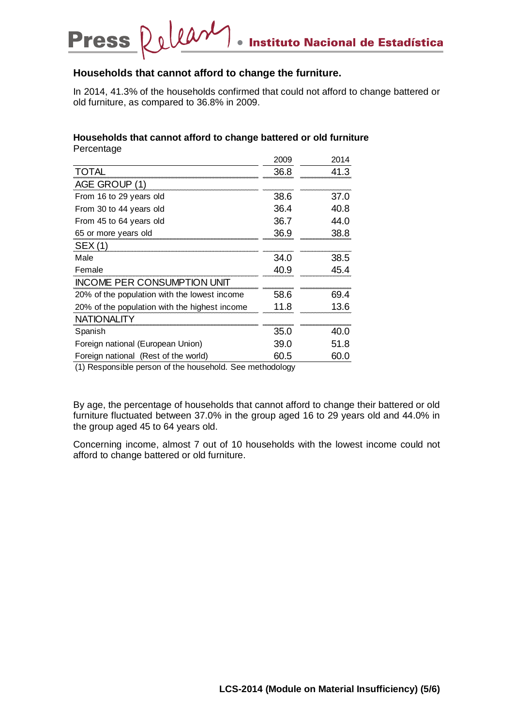#### Dolear **Press** Instituto Nacional de Estadística  $\bullet$

### **Households that cannot afford to change the furniture.**

In 2014, 41.3% of the households confirmed that could not afford to change battered or old furniture, as compared to 36.8% in 2009.

|                                               | 2009 | 2014 |
|-----------------------------------------------|------|------|
| <b>TOTAL</b>                                  | 36.8 | 41.3 |
| AGE GROUP (1)                                 |      |      |
| From 16 to 29 years old                       | 38.6 | 37.0 |
| From 30 to 44 years old                       | 36.4 | 40.8 |
| From 45 to 64 years old                       | 36.7 | 44.0 |
| 65 or more years old                          | 36.9 | 38.8 |
| <b>SEX (1)</b>                                |      |      |
| Male                                          | 34.0 | 38.5 |
| Female                                        | 40.9 | 45.4 |
| INCOME PER CONSUMPTION UNIT                   |      |      |
| 20% of the population with the lowest income  | 58.6 | 69.4 |
| 20% of the population with the highest income | 11.8 | 13.6 |
| <b>NATIONALITY</b>                            |      |      |
| Spanish                                       | 35.0 | 40.0 |
| Foreign national (European Union)             | 39.0 | 51.8 |
| Foreign national (Rest of the world)          | 60.5 | 60.0 |

#### **Households that cannot afford to change battered or old furniture Percentage**

(1) Responsible person of the household. See methodology

By age, the percentage of households that cannot afford to change their battered or old furniture fluctuated between 37.0% in the group aged 16 to 29 years old and 44.0% in the group aged 45 to 64 years old.

Concerning income, almost 7 out of 10 households with the lowest income could not afford to change battered or old furniture.